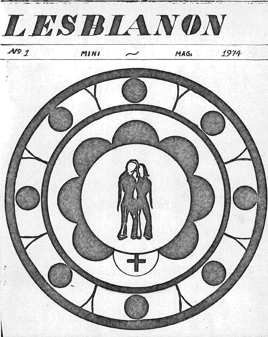